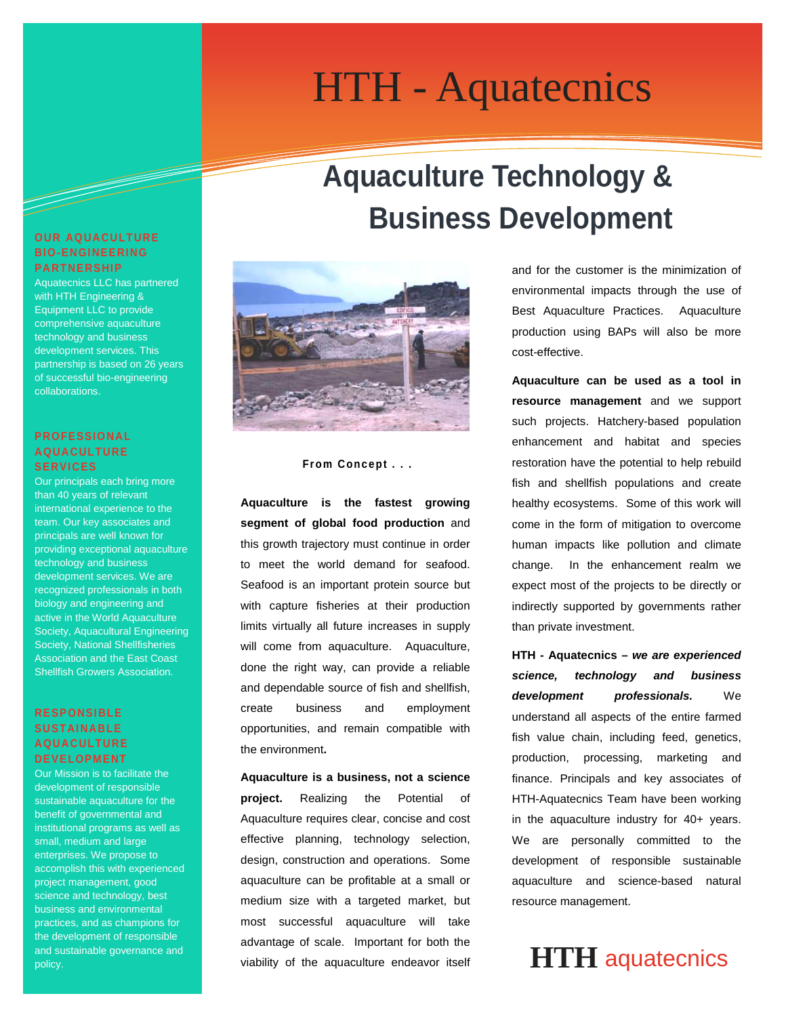# Information Technology Solutions HTH - Aquatecnics

# **Aquaculture Technology & Business Development**



#### **From Concept . . .**

**Aquaculture is the fastest growing segment of global food production** and this growth trajectory must continue in order to meet the world demand for seafood. Seafood is an important protein source but with capture fisheries at their production limits virtually all future increases in supply will come from aquaculture. Aquaculture, done the right way, can provide a reliable and dependable source of fish and shellfish, create business and employment opportunities, and remain compatible with the environment**.**

**Aquaculture is a business, not a science project.** Realizing the Potential of Aquaculture requires clear, concise and cost effective planning, technology selection, design, construction and operations. Some aquaculture can be profitable at a small or medium size with a targeted market, but most successful aquaculture will take advantage of scale. Important for both the viability of the aquaculture endeavor itself and for the customer is the minimization of environmental impacts through the use of Best Aquaculture Practices. Aquaculture production using BAPs will also be more cost-effective.

**Aquaculture can be used as a tool in resource management** and we support such projects. Hatchery-based population enhancement and habitat and species restoration have the potential to help rebuild fish and shellfish populations and create healthy ecosystems. Some of this work will come in the form of mitigation to overcome human impacts like pollution and climate change. In the enhancement realm we expect most of the projects to be directly or indirectly supported by governments rather than private investment.

**HTH - Aquatecnics –** *we are experienced science, technology and business development professionals.* We understand all aspects of the entire farmed fish value chain, including feed, genetics, production, processing, marketing and finance. Principals and key associates of HTH-Aquatecnics Team have been working in the aquaculture industry for 40+ years. We are personally committed to the development of responsible sustainable aquaculture and science-based natural resource management.

### **HTH** aquatecnics

### **OUR AQUACULTURE BIO-ENGINEERING PARTNERSHIP**

Aquatecnics LLC has partnered with HTH Engineering & Equipment LLC to provide comprehensive aquaculture technology and business development services. This partnership is based on 26 years of successful bio-engineering collaborations.

### **PROFESSIONAL AQUACULTURE SERVICES**

Our principals each bring more than 40 years of relevant international experience to the team. Our key associates and principals are well known for providing exceptional aquaculture technology and business development services. We are recognized professionals in both biology and engineering and active in the World Aquaculture Society, Aquacultural Engineering Society, National Shellfisheries Association and the East Coast Shellfish Growers Association.

### **RESPONSIBLE SUSTAINABLE AQUACULTURE DEVELOPMENT**

Our Mission is to facilitate the development of responsible sustainable aquaculture for the benefit of governmental and institutional programs as well as small, medium and large enterprises. We propose to accomplish this with experienced project management, good science and technology, best business and environmental practices, and as champions for the development of responsible and sustainable governance and policy.